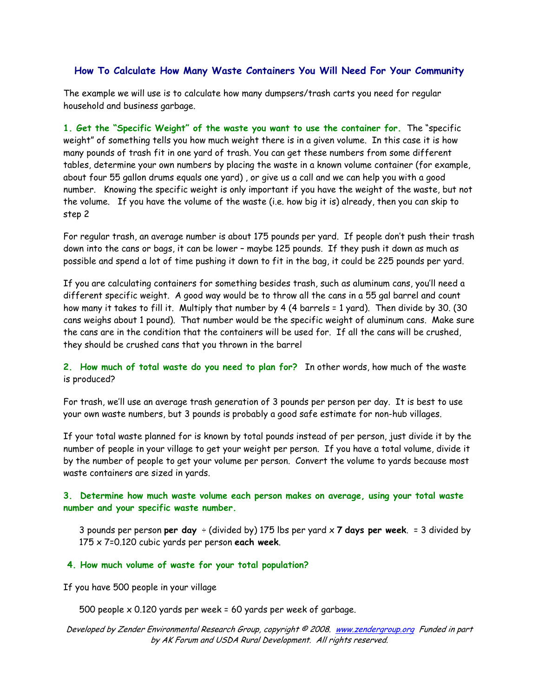# **How To Calculate How Many Waste Containers You Will Need For Your Community**

The example we will use is to calculate how many dumpsers/trash carts you need for regular household and business garbage.

**1. Get the "Specific Weight" of the waste you want to use the container for.** The "specific weight" of something tells you how much weight there is in a given volume. In this case it is how many pounds of trash fit in one yard of trash. You can get these numbers from some different tables, determine your own numbers by placing the waste in a known volume container (for example, about four 55 gallon drums equals one yard) , or give us a call and we can help you with a good number. Knowing the specific weight is only important if you have the weight of the waste, but not the volume. If you have the volume of the waste (i.e. how big it is) already, then you can skip to step 2

For regular trash, an average number is about 175 pounds per yard. If people don't push their trash down into the cans or bags, it can be lower – maybe 125 pounds. If they push it down as much as possible and spend a lot of time pushing it down to fit in the bag, it could be 225 pounds per yard.

If you are calculating containers for something besides trash, such as aluminum cans, you'll need a different specific weight. A good way would be to throw all the cans in a 55 gal barrel and count how many it takes to fill it. Multiply that number by 4 (4 barrels = 1 yard). Then divide by 30. (30 cans weighs about 1 pound). That number would be the specific weight of aluminum cans. Make sure the cans are in the condition that the containers will be used for. If all the cans will be crushed, they should be crushed cans that you thrown in the barrel

**2. How much of total waste do you need to plan for?** In other words, how much of the waste is produced?

For trash, we'll use an average trash generation of 3 pounds per person per day. It is best to use your own waste numbers, but 3 pounds is probably a good safe estimate for non-hub villages.

If your total waste planned for is known by total pounds instead of per person, just divide it by the number of people in your village to get your weight per person. If you have a total volume, divide it by the number of people to get your volume per person. Convert the volume to yards because most waste containers are sized in yards.

## **3. Determine how much waste volume each person makes on average, using your total waste number and your specific waste number.**

3 pounds per person **per day** ÷ (divided by) 175 lbs per yard x **7 days per week**. = 3 divided by 175 x 7=0.120 cubic yards per person **each week**.

#### **4. How much volume of waste for your total population?**

If you have 500 people in your village

500 people x 0.120 yards per week = 60 yards per week of garbage.

#### Developed by Zender Environmental Research Group, copyright © 2008. www.zendergroup.org Funded in part by AK Forum and USDA Rural Development. All rights reserved.